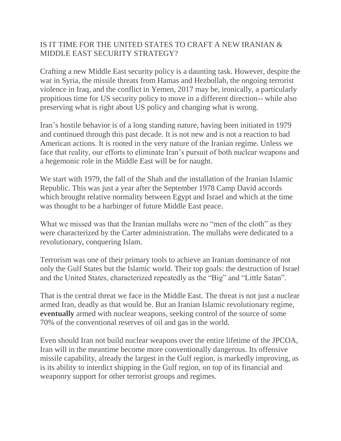## IS IT TIME FOR THE UNITED STATES TO CRAFT A NEW IRANIAN & MIDDLE EAST SECURITY STRATEGY?

Crafting a new Middle East security policy is a daunting task. However, despite the war in Syria, the missile threats from Hamas and Hezbollah, the ongoing terrorist violence in Iraq, and the conflict in Yemen, 2017 may be, ironically, a particularly propitious time for US security policy to move in a different direction-- while also preserving what is right about US policy and changing what is wrong.

Iran's hostile behavior is of a long standing nature, having been initiated in 1979 and continued through this past decade. It is not new and is not a reaction to bad American actions. It is rooted in the very nature of the Iranian regime. Unless we face that reality, our efforts to eliminate Iran's pursuit of both nuclear weapons and a hegemonic role in the Middle East will be for naught.

We start with 1979, the fall of the Shah and the installation of the Iranian Islamic Republic. This was just a year after the September 1978 Camp David accords which brought relative normality between Egypt and Israel and which at the time was thought to be a harbinger of future Middle East peace.

What we missed was that the Iranian mullahs were no "men of the cloth" as they were characterized by the Carter administration. The mullahs were dedicated to a revolutionary, conquering Islam.

Terrorism was one of their primary tools to achieve an Iranian dominance of not only the Gulf States but the Islamic world. Their top goals: the destruction of Israel and the United States, characterized repeatedly as the "Big" and "Little Satan".

That is the central threat we face in the Middle East. The threat is not just a nuclear armed Iran, deadly as that would be. But an Iranian Islamic revolutionary regime, **eventually** armed with nuclear weapons, seeking control of the source of some 70% of the conventional reserves of oil and gas in the world.

Even should Iran not build nuclear weapons over the entire lifetime of the JPCOA, Iran will in the meantime become more conventionally dangerous. Its offensive missile capability, already the largest in the Gulf region, is markedly improving, as is its ability to interdict shipping in the Gulf region, on top of its financial and weaponry support for other terrorist groups and regimes.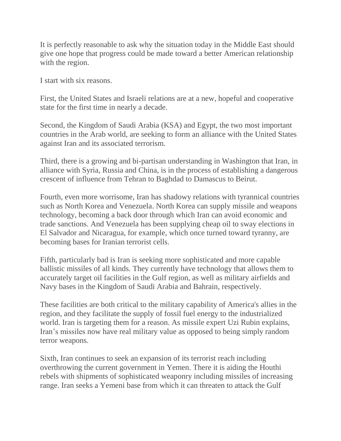It is perfectly reasonable to ask why the situation today in the Middle East should give one hope that progress could be made toward a better American relationship with the region.

I start with six reasons.

First, the United States and Israeli relations are at a new, hopeful and cooperative state for the first time in nearly a decade.

Second, the Kingdom of Saudi Arabia (KSA) and Egypt, the two most important countries in the Arab world, are seeking to form an alliance with the United States against Iran and its associated terrorism.

Third, there is a growing and bi-partisan understanding in Washington that Iran, in alliance with Syria, Russia and China, is in the process of establishing a dangerous crescent of influence from Tehran to Baghdad to Damascus to Beirut.

Fourth, even more worrisome, Iran has shadowy relations with tyrannical countries such as North Korea and Venezuela. North Korea can supply missile and weapons technology, becoming a back door through which Iran can avoid economic and trade sanctions. And Venezuela has been supplying cheap oil to sway elections in El Salvador and Nicaragua, for example, which once turned toward tyranny, are becoming bases for Iranian terrorist cells.

Fifth, particularly bad is Iran is seeking more sophisticated and more capable ballistic missiles of all kinds. They currently have technology that allows them to accurately target oil facilities in the Gulf region, as well as military airfields and Navy bases in the Kingdom of Saudi Arabia and Bahrain, respectively.

These facilities are both critical to the military capability of America's allies in the region, and they facilitate the supply of fossil fuel energy to the industrialized world. Iran is targeting them for a reason. As missile expert Uzi Rubin explains, Iran's missiles now have real military value as opposed to being simply random terror weapons.

Sixth, Iran continues to seek an expansion of its terrorist reach including overthrowing the current government in Yemen. There it is aiding the Houthi rebels with shipments of sophisticated weaponry including missiles of increasing range. Iran seeks a Yemeni base from which it can threaten to attack the Gulf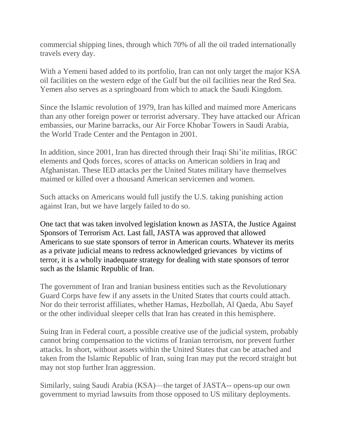commercial shipping lines, through which 70% of all the oil traded internationally travels every day.

With a Yemeni based added to its portfolio, Iran can not only target the major KSA oil facilities on the western edge of the Gulf but the oil facilities near the Red Sea. Yemen also serves as a springboard from which to attack the Saudi Kingdom.

Since the Islamic revolution of 1979, Iran has killed and maimed more Americans than any other foreign power or terrorist adversary. They have attacked our African embassies, our Marine barracks, our Air Force Khobar Towers in Saudi Arabia, the World Trade Center and the Pentagon in 2001.

In addition, since 2001, Iran has directed through their Iraqi Shi'ite militias, IRGC elements and Qods forces, scores of attacks on American soldiers in Iraq and Afghanistan. These IED attacks per the United States military have themselves maimed or killed over a thousand American servicemen and women.

Such attacks on Americans would full justify the U.S. taking punishing action against Iran, but we have largely failed to do so.

One tact that was taken involved legislation known as JASTA, the Justice Against Sponsors of Terrorism Act. Last fall, JASTA was approved that allowed Americans to sue state sponsors of terror in American courts. Whatever its merits as a private judicial means to redress acknowledged grievances by victims of terror, it is a wholly inadequate strategy for dealing with state sponsors of terror such as the Islamic Republic of Iran.

The government of Iran and Iranian business entities such as the Revolutionary Guard Corps have few if any assets in the United States that courts could attach. Nor do their terrorist affiliates, whether Hamas, Hezbollah, Al Qaeda, Abu Sayef or the other individual sleeper cells that Iran has created in this hemisphere.

Suing Iran in Federal court, a possible creative use of the judicial system, probably cannot bring compensation to the victims of Iranian terrorism, nor prevent further attacks. In short, without assets within the United States that can be attached and taken from the Islamic Republic of Iran, suing Iran may put the record straight but may not stop further Iran aggression.

Similarly, suing Saudi Arabia (KSA)—the target of JASTA-- opens-up our own government to myriad lawsuits from those opposed to US military deployments.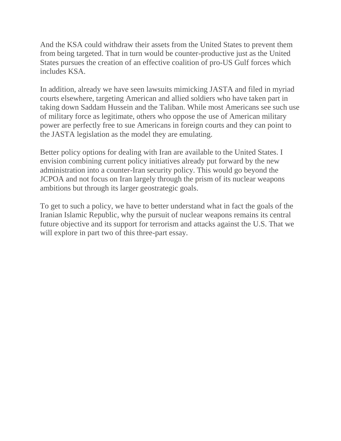And the KSA could withdraw their assets from the United States to prevent them from being targeted. That in turn would be counter-productive just as the United States pursues the creation of an effective coalition of pro-US Gulf forces which includes KSA.

In addition, already we have seen lawsuits mimicking JASTA and filed in myriad courts elsewhere, targeting American and allied soldiers who have taken part in taking down Saddam Hussein and the Taliban. While most Americans see such use of military force as legitimate, others who oppose the use of American military power are perfectly free to sue Americans in foreign courts and they can point to the JASTA legislation as the model they are emulating.

Better policy options for dealing with Iran are available to the United States. I envision combining current policy initiatives already put forward by the new administration into a counter-Iran security policy. This would go beyond the JCPOA and not focus on Iran largely through the prism of its nuclear weapons ambitions but through its larger geostrategic goals.

To get to such a policy, we have to better understand what in fact the goals of the Iranian Islamic Republic, why the pursuit of nuclear weapons remains its central future objective and its support for terrorism and attacks against the U.S. That we will explore in part two of this three-part essay.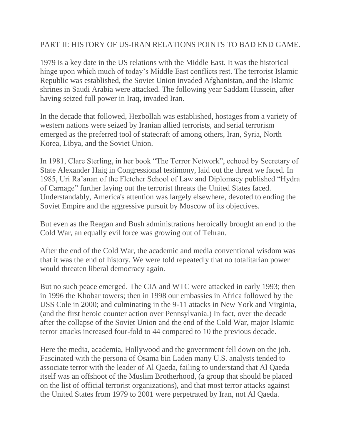## PART II: HISTORY OF US-IRAN RELATIONS POINTS TO BAD END GAME.

1979 is a key date in the US relations with the Middle East. It was the historical hinge upon which much of today's Middle East conflicts rest. The terrorist Islamic Republic was established, the Soviet Union invaded Afghanistan, and the Islamic shrines in Saudi Arabia were attacked. The following year Saddam Hussein, after having seized full power in Iraq, invaded Iran.

In the decade that followed, Hezbollah was established, hostages from a variety of western nations were seized by Iranian allied terrorists, and serial terrorism emerged as the preferred tool of statecraft of among others, Iran, Syria, North Korea, Libya, and the Soviet Union.

In 1981, Clare Sterling, in her book "The Terror Network", echoed by Secretary of State Alexander Haig in Congressional testimony, laid out the threat we faced. In 1985, Uri Ra'anan of the Fletcher School of Law and Diplomacy published "Hydra of Carnage" further laying out the terrorist threats the United States faced. Understandably, America's attention was largely elsewhere, devoted to ending the Soviet Empire and the aggressive pursuit by Moscow of its objectives.

But even as the Reagan and Bush administrations heroically brought an end to the Cold War, an equally evil force was growing out of Tehran.

After the end of the Cold War, the academic and media conventional wisdom was that it was the end of history. We were told repeatedly that no totalitarian power would threaten liberal democracy again.

But no such peace emerged. The CIA and WTC were attacked in early 1993; then in 1996 the Khobar towers; then in 1998 our embassies in Africa followed by the USS Cole in 2000; and culminating in the 9-11 attacks in New York and Virginia, (and the first heroic counter action over Pennsylvania.) In fact, over the decade after the collapse of the Soviet Union and the end of the Cold War, major Islamic terror attacks increased four-fold to 44 compared to 10 the previous decade.

Here the media, academia, Hollywood and the government fell down on the job. Fascinated with the persona of Osama bin Laden many U.S. analysts tended to associate terror with the leader of Al Qaeda, failing to understand that Al Qaeda itself was an offshoot of the Muslim Brotherhood, (a group that should be placed on the list of official terrorist organizations), and that most terror attacks against the United States from 1979 to 2001 were perpetrated by Iran, not Al Qaeda.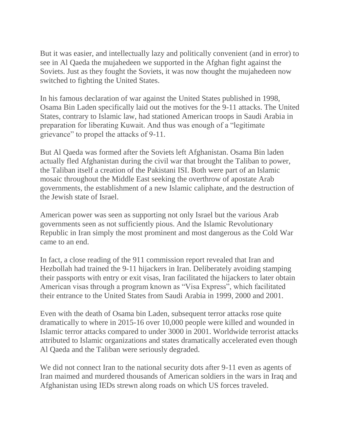But it was easier, and intellectually lazy and politically convenient (and in error) to see in Al Qaeda the mujahedeen we supported in the Afghan fight against the Soviets. Just as they fought the Soviets, it was now thought the mujahedeen now switched to fighting the United States.

In his famous declaration of war against the United States published in 1998, Osama Bin Laden specifically laid out the motives for the 9-11 attacks. The United States, contrary to Islamic law, had stationed American troops in Saudi Arabia in preparation for liberating Kuwait. And thus was enough of a "legitimate grievance" to propel the attacks of 9-11.

But Al Qaeda was formed after the Soviets left Afghanistan. Osama Bin laden actually fled Afghanistan during the civil war that brought the Taliban to power, the Taliban itself a creation of the Pakistani ISI. Both were part of an Islamic mosaic throughout the Middle East seeking the overthrow of apostate Arab governments, the establishment of a new Islamic caliphate, and the destruction of the Jewish state of Israel.

American power was seen as supporting not only Israel but the various Arab governments seen as not sufficiently pious. And the Islamic Revolutionary Republic in Iran simply the most prominent and most dangerous as the Cold War came to an end.

In fact, a close reading of the 911 commission report revealed that Iran and Hezbollah had trained the 9-11 hijackers in Iran. Deliberately avoiding stamping their passports with entry or exit visas, Iran facilitated the hijackers to later obtain American visas through a program known as "Visa Express", which facilitated their entrance to the United States from Saudi Arabia in 1999, 2000 and 2001.

Even with the death of Osama bin Laden, subsequent terror attacks rose quite dramatically to where in 2015-16 over 10,000 people were killed and wounded in Islamic terror attacks compared to under 3000 in 2001. Worldwide terrorist attacks attributed to Islamic organizations and states dramatically accelerated even though Al Qaeda and the Taliban were seriously degraded.

We did not connect Iran to the national security dots after 9-11 even as agents of Iran maimed and murdered thousands of American soldiers in the wars in Iraq and Afghanistan using IEDs strewn along roads on which US forces traveled.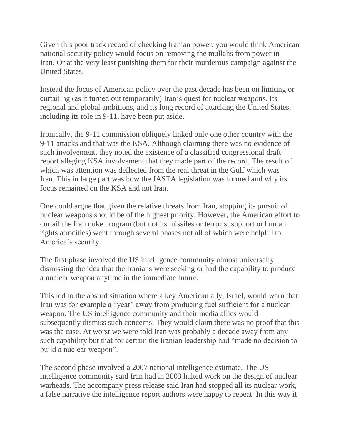Given this poor track record of checking Iranian power, you would think American national security policy would focus on removing the mullahs from power in Iran. Or at the very least punishing them for their murderous campaign against the United States.

Instead the focus of American policy over the past decade has been on limiting or curtailing (as it turned out temporarily) Iran's quest for nuclear weapons. Its regional and global ambitions, and its long record of attacking the United States, including its role in 9-11, have been put aside.

Ironically, the 9-11 commission obliquely linked only one other country with the 9-11 attacks and that was the KSA. Although claiming there was no evidence of such involvement, they noted the existence of a classified congressional draft report alleging KSA involvement that they made part of the record. The result of which was attention was deflected from the real threat in the Gulf which was Iran. This in large part was how the JASTA legislation was formed and why its focus remained on the KSA and not Iran.

One could argue that given the relative threats from Iran, stopping its pursuit of nuclear weapons should be of the highest priority. However, the American effort to curtail the Iran nuke program (but not its missiles or terrorist support or human rights atrocities) went through several phases not all of which were helpful to America's security.

The first phase involved the US intelligence community almost universally dismissing the idea that the Iranians were seeking or had the capability to produce a nuclear weapon anytime in the immediate future.

This led to the absurd situation where a key American ally, Israel, would warn that Iran was for example a "year" away from producing fuel sufficient for a nuclear weapon. The US intelligence community and their media allies would subsequently dismiss such concerns. They would claim there was no proof that this was the case. At worst we were told Iran was probably a decade away from any such capability but that for certain the Iranian leadership had "made no decision to build a nuclear weapon".

The second phase involved a 2007 national intelligence estimate. The US intelligence community said Iran had in 2003 halted work on the design of nuclear warheads. The accompany press release said Iran had stopped all its nuclear work, a false narrative the intelligence report authors were happy to repeat. In this way it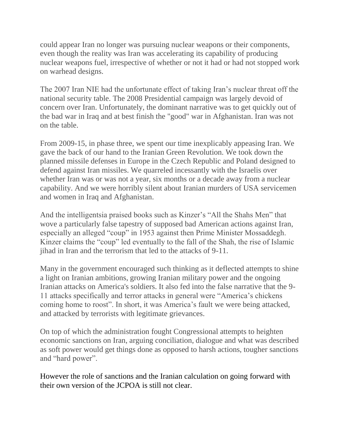could appear Iran no longer was pursuing nuclear weapons or their components, even though the reality was Iran was accelerating its capability of producing nuclear weapons fuel, irrespective of whether or not it had or had not stopped work on warhead designs.

The 2007 Iran NIE had the unfortunate effect of taking Iran's nuclear threat off the national security table. The 2008 Presidential campaign was largely devoid of concern over Iran. Unfortunately, the dominant narrative was to get quickly out of the bad war in Iraq and at best finish the "good" war in Afghanistan. Iran was not on the table.

From 2009-15, in phase three, we spent our time inexplicably appeasing Iran. We gave the back of our hand to the Iranian Green Revolution. We took down the planned missile defenses in Europe in the Czech Republic and Poland designed to defend against Iran missiles. We quarreled incessantly with the Israelis over whether Iran was or was not a year, six months or a decade away from a nuclear capability. And we were horribly silent about Iranian murders of USA servicemen and women in Iraq and Afghanistan.

And the intelligentsia praised books such as Kinzer's "All the Shahs Men" that wove a particularly false tapestry of supposed bad American actions against Iran, especially an alleged "coup" in 1953 against then Prime Minister Mossaddegh. Kinzer claims the "coup" led eventually to the fall of the Shah, the rise of Islamic jihad in Iran and the terrorism that led to the attacks of 9-11.

Many in the government encouraged such thinking as it deflected attempts to shine a light on Iranian ambitions, growing Iranian military power and the ongoing Iranian attacks on America's soldiers. It also fed into the false narrative that the 9- 11 attacks specifically and terror attacks in general were "America's chickens coming home to roost". In short, it was America's fault we were being attacked, and attacked by terrorists with legitimate grievances.

On top of which the administration fought Congressional attempts to heighten economic sanctions on Iran, arguing conciliation, dialogue and what was described as soft power would get things done as opposed to harsh actions, tougher sanctions and "hard power".

However the role of sanctions and the Iranian calculation on going forward with their own version of the JCPOA is still not clear.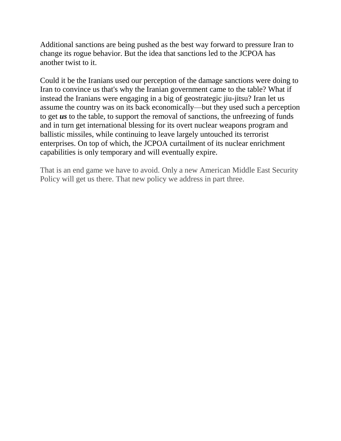Additional sanctions are being pushed as the best way forward to pressure Iran to change its rogue behavior. But the idea that sanctions led to the JCPOA has another twist to it.

Could it be the Iranians used our perception of the damage sanctions were doing to Iran to convince us that's why the Iranian government came to the table? What if instead the Iranians were engaging in a big of geostrategic jiu-jitsu? Iran let us assume the country was on its back economically—but they used such a perception to get *us* to the table, to support the removal of sanctions, the unfreezing of funds and in turn get international blessing for its overt nuclear weapons program and ballistic missiles, while continuing to leave largely untouched its terrorist enterprises. On top of which, the JCPOA curtailment of its nuclear enrichment capabilities is only temporary and will eventually expire.

That is an end game we have to avoid. Only a new American Middle East Security Policy will get us there. That new policy we address in part three.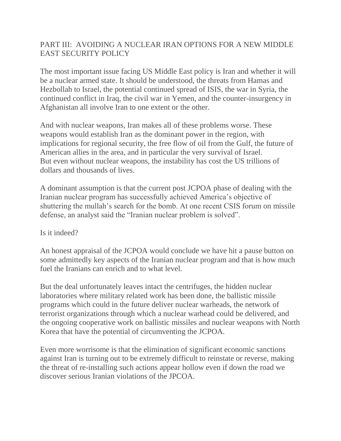## PART III: AVOIDING A NUCLEAR IRAN OPTIONS FOR A NEW MIDDLE EAST SECURITY POLICY

The most important issue facing US Middle East policy is Iran and whether it will be a nuclear armed state. It should be understood, the threats from Hamas and Hezbollah to Israel, the potential continued spread of ISIS, the war in Syria, the continued conflict in Iraq, the civil war in Yemen, and the counter-insurgency in Afghanistan all involve Iran to one extent or the other.

And with nuclear weapons, Iran makes all of these problems worse. These weapons would establish Iran as the dominant power in the region, with implications for regional security, the free flow of oil from the Gulf, the future of American allies in the area, and in particular the very survival of Israel. But even without nuclear weapons, the instability has cost the US trillions of dollars and thousands of lives.

A dominant assumption is that the current post JCPOA phase of dealing with the Iranian nuclear program has successfully achieved America's objective of shuttering the mullah's search for the bomb. At one recent CSIS forum on missile defense, an analyst said the "Iranian nuclear problem is solved".

## Is it indeed?

An honest appraisal of the JCPOA would conclude we have hit a pause button on some admittedly key aspects of the Iranian nuclear program and that is how much fuel the Iranians can enrich and to what level.

But the deal unfortunately leaves intact the centrifuges, the hidden nuclear laboratories where military related work has been done, the ballistic missile programs which could in the future deliver nuclear warheads, the network of terrorist organizations through which a nuclear warhead could be delivered, and the ongoing cooperative work on ballistic missiles and nuclear weapons with North Korea that have the potential of circumventing the JCPOA.

Even more worrisome is that the elimination of significant economic sanctions against Iran is turning out to be extremely difficult to reinstate or reverse, making the threat of re-installing such actions appear hollow even if down the road we discover serious Iranian violations of the JPCOA.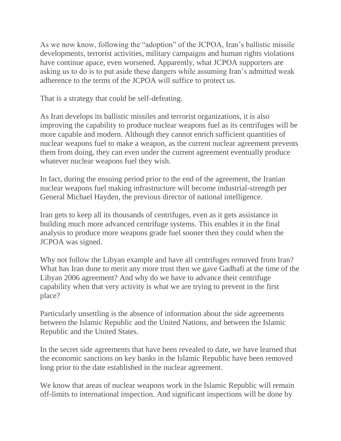As we now know, following the "adoption" of the JCPOA, Iran's ballistic missile developments, terrorist activities, military campaigns and human rights violations have continue apace, even worsened. Apparently, what JCPOA supporters are asking us to do is to put aside these dangers while assuming Iran's admitted weak adherence to the terms of the JCPOA will suffice to protect us.

That is a strategy that could be self-defeating.

As Iran develops its ballistic missiles and terrorist organizations, it is also improving the capability to produce nuclear weapons fuel as its centrifuges will be more capable and modern. Although they cannot enrich sufficient quantities of nuclear weapons fuel to make a weapon, as the current nuclear agreement prevents them from doing, they can even under the current agreement eventually produce whatever nuclear weapons fuel they wish.

In fact, during the ensuing period prior to the end of the agreement, the Iranian nuclear weapons fuel making infrastructure will become industrial-strength per General Michael Hayden, the previous director of national intelligence.

Iran gets to keep all its thousands of centrifuges, even as it gets assistance in building much more advanced centrifuge systems. This enables it in the final analysis to produce more weapons grade fuel sooner then they could when the JCPOA was signed.

Why not follow the Libyan example and have all centrifuges removed from Iran? What has Iran done to merit any more trust then we gave Gadhafi at the time of the Libyan 2006 agreement? And why do we have to advance their centrifuge capability when that very activity is what we are trying to prevent in the first place?

Particularly unsettling is the absence of information about the side agreements between the Islamic Republic and the United Nations, and between the Islamic Republic and the United States.

In the secret side agreements that have been revealed to date, we have learned that the economic sanctions on key banks in the Islamic Republic have been removed long prior to the date established in the nuclear agreement.

We know that areas of nuclear weapons work in the Islamic Republic will remain off-limits to international inspection. And significant inspections will be done by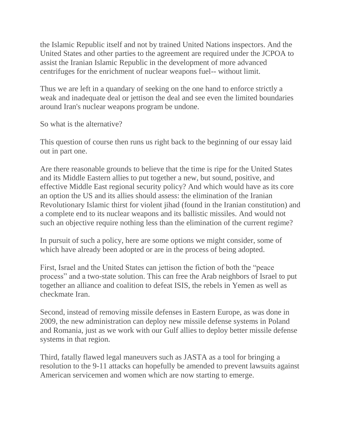the Islamic Republic itself and not by trained United Nations inspectors. And the United States and other parties to the agreement are required under the JCPOA to assist the Iranian Islamic Republic in the development of more advanced centrifuges for the enrichment of nuclear weapons fuel-- without limit.

Thus we are left in a quandary of seeking on the one hand to enforce strictly a weak and inadequate deal or jettison the deal and see even the limited boundaries around Iran's nuclear weapons program be undone.

So what is the alternative?

This question of course then runs us right back to the beginning of our essay laid out in part one.

Are there reasonable grounds to believe that the time is ripe for the United States and its Middle Eastern allies to put together a new, but sound, positive, and effective Middle East regional security policy? And which would have as its core an option the US and its allies should assess: the elimination of the Iranian Revolutionary Islamic thirst for violent jihad (found in the Iranian constitution) and a complete end to its nuclear weapons and its ballistic missiles. And would not such an objective require nothing less than the elimination of the current regime?

In pursuit of such a policy, here are some options we might consider, some of which have already been adopted or are in the process of being adopted.

First, Israel and the United States can jettison the fiction of both the "peace process" and a two-state solution. This can free the Arab neighbors of Israel to put together an alliance and coalition to defeat ISIS, the rebels in Yemen as well as checkmate Iran.

Second, instead of removing missile defenses in Eastern Europe, as was done in 2009, the new administration can deploy new missile defense systems in Poland and Romania, just as we work with our Gulf allies to deploy better missile defense systems in that region.

Third, fatally flawed legal maneuvers such as JASTA as a tool for bringing a resolution to the 9-11 attacks can hopefully be amended to prevent lawsuits against American servicemen and women which are now starting to emerge.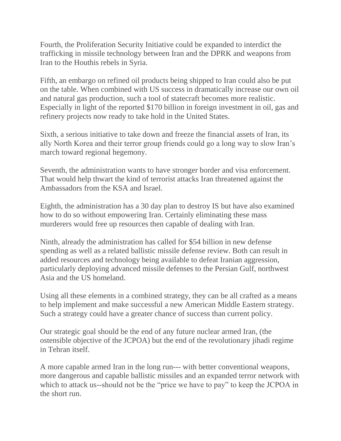Fourth, the Proliferation Security Initiative could be expanded to interdict the trafficking in missile technology between Iran and the DPRK and weapons from Iran to the Houthis rebels in Syria.

Fifth, an embargo on refined oil products being shipped to Iran could also be put on the table. When combined with US success in dramatically increase our own oil and natural gas production, such a tool of statecraft becomes more realistic. Especially in light of the reported \$170 billion in foreign investment in oil, gas and refinery projects now ready to take hold in the United States.

Sixth, a serious initiative to take down and freeze the financial assets of Iran, its ally North Korea and their terror group friends could go a long way to slow Iran's march toward regional hegemony.

Seventh, the administration wants to have stronger border and visa enforcement. That would help thwart the kind of terrorist attacks Iran threatened against the Ambassadors from the KSA and Israel.

Eighth, the administration has a 30 day plan to destroy IS but have also examined how to do so without empowering Iran. Certainly eliminating these mass murderers would free up resources then capable of dealing with Iran.

Ninth, already the administration has called for \$54 billion in new defense spending as well as a related ballistic missile defense review. Both can result in added resources and technology being available to defeat Iranian aggression, particularly deploying advanced missile defenses to the Persian Gulf, northwest Asia and the US homeland.

Using all these elements in a combined strategy, they can be all crafted as a means to help implement and make successful a new American Middle Eastern strategy. Such a strategy could have a greater chance of success than current policy.

Our strategic goal should be the end of any future nuclear armed Iran, (the ostensible objective of the JCPOA) but the end of the revolutionary jihadi regime in Tehran itself.

A more capable armed Iran in the long run--- with better conventional weapons, more dangerous and capable ballistic missiles and an expanded terror network with which to attack us--should not be the "price we have to pay" to keep the JCPOA in the short run.